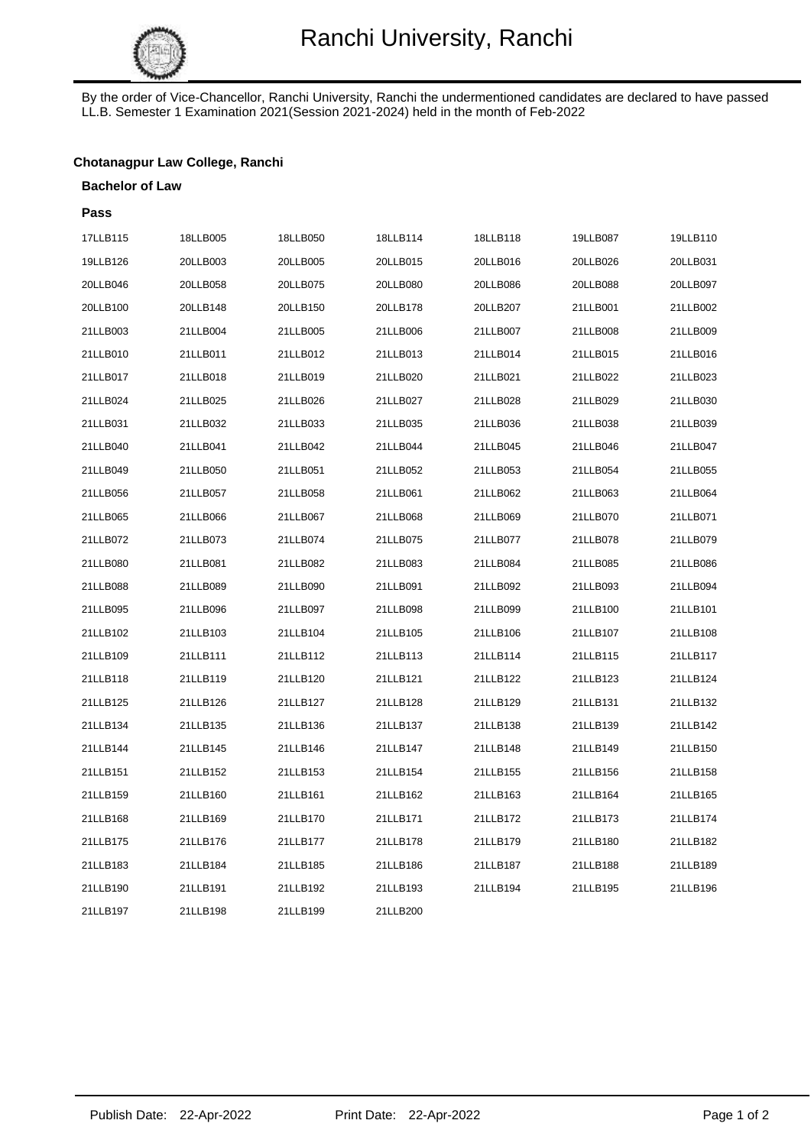

By the order of Vice-Chancellor, Ranchi University, Ranchi the undermentioned candidates are declared to have passed LL.B. Semester 1 Examination 2021(Session 2021-2024) held in the month of Feb-2022

## **Chotanagpur Law College, Ranchi**

#### **Bachelor of Law**

| Pass     |          |          |          |          |          |          |
|----------|----------|----------|----------|----------|----------|----------|
| 17LLB115 | 18LLB005 | 18LLB050 | 18LLB114 | 18LLB118 | 19LLB087 | 19LLB110 |
| 19LLB126 | 20LLB003 | 20LLB005 | 20LLB015 | 20LLB016 | 20LLB026 | 20LLB031 |
| 20LLB046 | 20LLB058 | 20LLB075 | 20LLB080 | 20LLB086 | 20LLB088 | 20LLB097 |
| 20LLB100 | 20LLB148 | 20LLB150 | 20LLB178 | 20LLB207 | 21LLB001 | 21LLB002 |
| 21LLB003 | 21LLB004 | 21LLB005 | 21LLB006 | 21LLB007 | 21LLB008 | 21LLB009 |
| 21LLB010 | 21LLB011 | 21LLB012 | 21LLB013 | 21LLB014 | 21LLB015 | 21LLB016 |
| 21LLB017 | 21LLB018 | 21LLB019 | 21LLB020 | 21LLB021 | 21LLB022 | 21LLB023 |
| 21LLB024 | 21LLB025 | 21LLB026 | 21LLB027 | 21LLB028 | 21LLB029 | 21LLB030 |
| 21LLB031 | 21LLB032 | 21LLB033 | 21LLB035 | 21LLB036 | 21LLB038 | 21LLB039 |
| 21LLB040 | 21LLB041 | 21LLB042 | 21LLB044 | 21LLB045 | 21LLB046 | 21LLB047 |
| 21LLB049 | 21LLB050 | 21LLB051 | 21LLB052 | 21LLB053 | 21LLB054 | 21LLB055 |
| 21LLB056 | 21LLB057 | 21LLB058 | 21LLB061 | 21LLB062 | 21LLB063 | 21LLB064 |
| 21LLB065 | 21LLB066 | 21LLB067 | 21LLB068 | 21LLB069 | 21LLB070 | 21LLB071 |
| 21LLB072 | 21LLB073 | 21LLB074 | 21LLB075 | 21LLB077 | 21LLB078 | 21LLB079 |
| 21LLB080 | 21LLB081 | 21LLB082 | 21LLB083 | 21LLB084 | 21LLB085 | 21LLB086 |
| 21LLB088 | 21LLB089 | 21LLB090 | 21LLB091 | 21LLB092 | 21LLB093 | 21LLB094 |
| 21LLB095 | 21LLB096 | 21LLB097 | 21LLB098 | 21LLB099 | 21LLB100 | 21LLB101 |
| 21LLB102 | 21LLB103 | 21LLB104 | 21LLB105 | 21LLB106 | 21LLB107 | 21LLB108 |
| 21LLB109 | 21LLB111 | 21LLB112 | 21LLB113 | 21LLB114 | 21LLB115 | 21LLB117 |
| 21LLB118 | 21LLB119 | 21LLB120 | 21LLB121 | 21LLB122 | 21LLB123 | 21LLB124 |
| 21LLB125 | 21LLB126 | 21LLB127 | 21LLB128 | 21LLB129 | 21LLB131 | 21LLB132 |
| 21LLB134 | 21LLB135 | 21LLB136 | 21LLB137 | 21LLB138 | 21LLB139 | 21LLB142 |
| 21LLB144 | 21LLB145 | 21LLB146 | 21LLB147 | 21LLB148 | 21LLB149 | 21LLB150 |
| 21LLB151 | 21LLB152 | 21LLB153 | 21LLB154 | 21LLB155 | 21LLB156 | 21LLB158 |
| 21LLB159 | 21LLB160 | 21LLB161 | 21LLB162 | 21LLB163 | 21LLB164 | 21LLB165 |
| 21LLB168 | 21LLB169 | 21LLB170 | 21LLB171 | 21LLB172 | 21LLB173 | 21LLB174 |
| 21LLB175 | 21LLB176 | 21LLB177 | 21LLB178 | 21LLB179 | 21LLB180 | 21LLB182 |
| 21LLB183 | 21LLB184 | 21LLB185 | 21LLB186 | 21LLB187 | 21LLB188 | 21LLB189 |
| 21LLB190 | 21LLB191 | 21LLB192 | 21LLB193 | 21LLB194 | 21LLB195 | 21LLB196 |
| 21LLB197 | 21LLB198 | 21LLB199 | 21LLB200 |          |          |          |